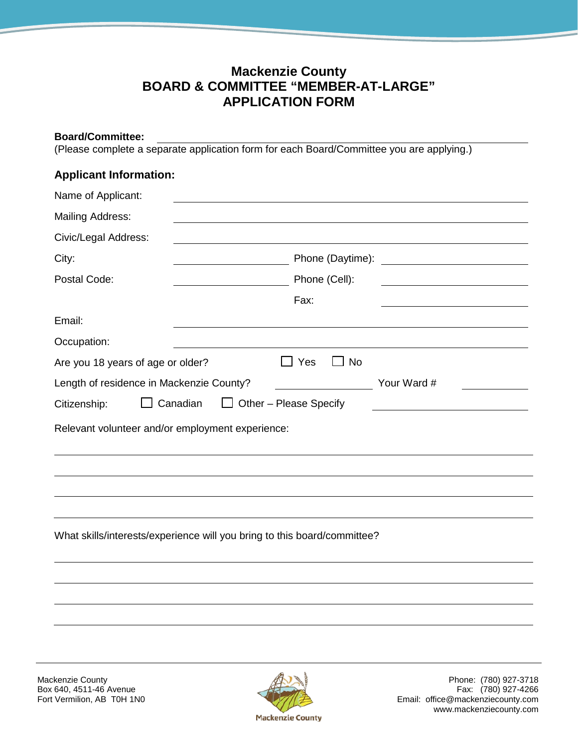## **Mackenzie County BOARD & COMMITTEE "MEMBER-AT-LARGE" APPLICATION FORM**

## **Board/Committee:**

(Please complete a separate application form for each Board/Committee you are applying.)

## **Applicant Information:**

| Name of Applicant:                                                       |                               |                                                     |
|--------------------------------------------------------------------------|-------------------------------|-----------------------------------------------------|
| <b>Mailing Address:</b>                                                  |                               |                                                     |
| Civic/Legal Address:                                                     |                               |                                                     |
| City:                                                                    | Phone (Daytime):              | <u> 1980 - Andrea Station Barbara, amerikan per</u> |
| Postal Code:                                                             | Phone (Cell):                 |                                                     |
|                                                                          | Fax:                          |                                                     |
| Email:                                                                   |                               |                                                     |
| Occupation:                                                              |                               |                                                     |
| Are you 18 years of age or older?                                        | $\Box$ Yes<br>$\Box$ No       |                                                     |
| Length of residence in Mackenzie County?                                 |                               | Your Ward #                                         |
| $\Box$ Canadian<br>Citizenship:                                          | $\Box$ Other – Please Specify |                                                     |
| Relevant volunteer and/or employment experience:                         |                               |                                                     |
|                                                                          |                               |                                                     |
|                                                                          |                               |                                                     |
|                                                                          |                               |                                                     |
|                                                                          |                               |                                                     |
| What skills/interests/experience will you bring to this board/committee? |                               |                                                     |
|                                                                          |                               |                                                     |
|                                                                          |                               |                                                     |
|                                                                          |                               |                                                     |
|                                                                          |                               |                                                     |
|                                                                          |                               |                                                     |



Mackenzie County (780) 927-3718<br>Box 640, 4511-46 Avenue (780) 927-4266 Email: office@mackenziecounty.com www.mackenziecounty.com